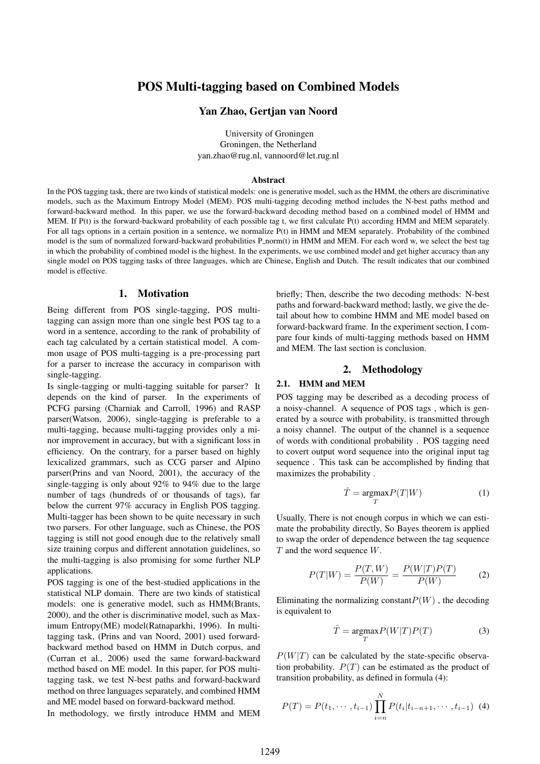# POS Multi-tagging based on Combined Models

### Yan Zhao, Gertjan van Noord

University of Groningen Groningen, the Netherland yan.zhao@rug.nl, vannoord@let.rug.nl

#### Abstract

In the POS tagging task, there are two kinds of statistical models: one is generative model, such as the HMM, the others are discriminative models, such as the Maximum Entropy Model (MEM). POS multi-tagging decoding method includes the N-best paths method and forward-backward method. In this paper, we use the forward-backward decoding method based on a combined model of HMM and MEM. If P(t) is the forward-backward probability of each possible tag t, we first calculate P(t) according HMM and MEM separately. For all tags options in a certain position in a sentence, we normalize P(t) in HMM and MEM separately. Probability of the combined model is the sum of normalized forward-backward probabilities P\_norm(t) in HMM and MEM. For each word w, we select the best tag in which the probability of combined model is the highest. In the experiments, we use combined model and get higher accuracy than any single model on POS tagging tasks of three languages, which are Chinese, English and Dutch. The result indicates that our combined model is effective.

# 1. Motivation

Being different from POS single-tagging, POS multitagging can assign more than one single best POS tag to a word in a sentence, according to the rank of probability of each tag calculated by a certain statistical model. A common usage of POS multi-tagging is a pre-processing part for a parser to increase the accuracy in comparison with single-tagging.

Is single-tagging or multi-tagging suitable for parser? It depends on the kind of parser. In the experiments of PCFG parsing (Charniak and Carroll, 1996) and RASP parser(Watson, 2006), single-tagging is preferable to a multi-tagging, because multi-tagging provides only a minor improvement in accuracy, but with a significant loss in efficiency. On the contrary, for a parser based on highly lexicalized grammars, such as CCG parser and Alpino parser(Prins and van Noord, 2001), the accuracy of the single-tagging is only about 92% to 94% due to the large number of tags (hundreds of or thousands of tags), far below the current 97% accuracy in English POS tagging. Multi-tagger has been shown to be quite necessary in such two parsers. For other language, such as Chinese, the POS tagging is still not good enough due to the relatively small size training corpus and different annotation guidelines, so the multi-tagging is also promising for some further NLP applications.

POS tagging is one of the best-studied applications in the statistical NLP domain. There are two kinds of statistical models: one is generative model, such as HMM(Brants, 2000), and the other is discriminative model, such as Maximum Entropy(ME) model(Ratnaparkhi, 1996). In multitagging task, (Prins and van Noord, 2001) used forwardbackward method based on HMM in Dutch corpus, and (Curran et al., 2006) used the same forward-backward method based on ME model. In this paper, for POS multitagging task, we test N-best paths and forward-backward method on three languages separately, and combined HMM and ME model based on forward-backward method.

In methodology, we firstly introduce HMM and MEM

briefly; Then, describe the two decoding methods: N-best paths and forward-backward method; lastly, we give the detail about how to combine HMM and ME model based on forward-backward frame. In the experiment section, I compare four kinds of multi-tagging methods based on HMM and MEM. The last section is conclusion.

### 2. Methodology

#### 2.1. HMM and MEM

POS tagging may be described as a decoding process of a noisy-channel. A sequence of POS tags , which is generated by a source with probability, is transmitted through a noisy channel. The output of the channel is a sequence of words with conditional probability . POS tagging need to covert output word sequence into the original input tag sequence . This task can be accomplished by finding that maximizes the probability .

$$
\hat{T} = \underset{T}{\text{argmax}} P(T|W) \tag{1}
$$

Usually, There is not enough corpus in which we can estimate the probability directly, So Bayes theorem is applied to swap the order of dependence between the tag sequence *T* and the word sequence *W*.

$$
P(T|W) = \frac{P(T,W)}{P(W)} = \frac{P(W|T)P(T)}{P(W)} \tag{2}
$$

Eliminating the normalizing constant $P(W)$ , the decoding is equivalent to

$$
\hat{T} = \underset{T}{\text{argmax}} P(W|T)P(T) \tag{3}
$$

 $P(W|T)$  can be calculated by the state-specific observation probability.  $P(T)$  can be estimated as the product of transition probability, as defined in formula (4):

$$
P(T) = P(t_1, \dots, t_{i-1}) \prod_{i=n}^{N} P(t_i | t_{i-n+1}, \dots, t_{i-1})
$$
 (4)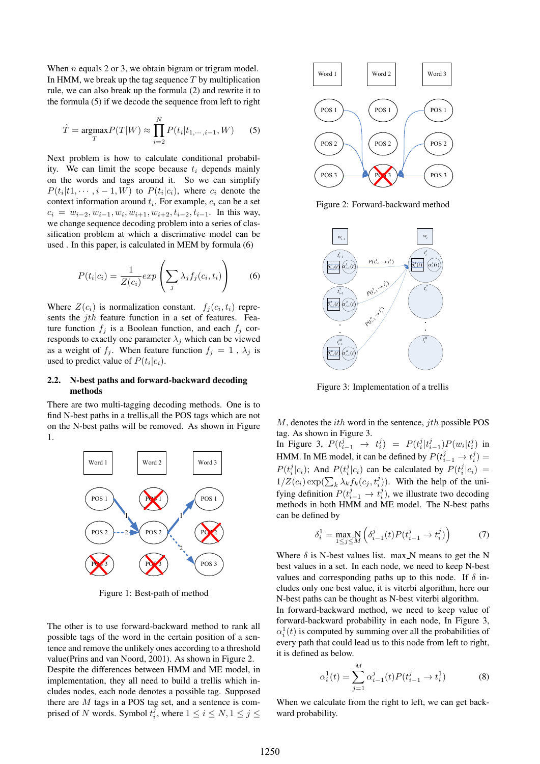When *n* equals 2 or 3, we obtain bigram or trigram model. In HMM, we break up the tag sequence *T* by multiplication rule, we can also break up the formula (2) and rewrite it to the formula (5) if we decode the sequence from left to right

$$
\hat{T} = \underset{T}{\text{argmax}} P(T|W) \approx \prod_{i=2}^{N} P(t_i|t_{1,\cdots,i-1}, W) \tag{5}
$$

Next problem is how to calculate conditional probability. We can limit the scope because  $t_i$  depends mainly on the words and tags around it. So we can simplify  $P(t_i|t_1,\dots, t-1, W)$  to  $P(t_i|c_i)$ , where  $c_i$  denote the context information around *t<sup>i</sup>* . For example, *c<sup>i</sup>* can be a set  $c_i = w_{i-2}, w_{i-1}, w_i, w_{i+1}, w_{i+2}, t_{i-2}, t_{i-1}$ . In this way, we change sequence decoding problem into a series of classification problem at which a discrimative model can be used . In this paper, is calculated in MEM by formula (6)

$$
P(t_i|c_i) = \frac{1}{Z(c_i)} exp\left(\sum_j \lambda_j f_j(c_i, t_i)\right)
$$
 (6)

Where  $Z(c_i)$  is normalization constant.  $f_j(c_i, t_i)$  represents the *jth* feature function in a set of features. Feature function  $f_i$  is a Boolean function, and each  $f_i$  corresponds to exactly one parameter  $\lambda_j$  which can be viewed as a weight of  $f_j$ . When feature function  $f_j = 1$ ,  $\lambda_j$  is used to predict value of  $P(t_i|c_i)$ .

### 2.2. N-best paths and forward-backward decoding methods

There are two multi-tagging decoding methods. One is to find N-best paths in a trellis,all the POS tags which are not on the N-best paths will be removed. As shown in Figure 1.



Figure 1: Best-path of method

The other is to use forward-backward method to rank all possible tags of the word in the certain position of a sentence and remove the unlikely ones according to a threshold value(Prins and van Noord, 2001). As shown in Figure 2. Despite the differences between HMM and ME model, in implementation, they all need to build a trellis which includes nodes, each node denotes a possible tag. Supposed there are *M* tags in a POS tag set, and a sentence is comprised of *N* words. Symbol  $t_i^j$ , where  $1 \le i \le N, 1 \le j \le n$ 



Figure 2: Forward-backward method



Figure 3: Implementation of a trellis

*M*, denotes the *ith* word in the sentence, *jth* possible POS tag. As shown in Figure 3.

In Figure 3,  $P(t_{i-1}^j \to t_i^j) = P(t_i^j | t_{i-1}^j) P(w_i | t_i^j)$  in HMM. In ME model, it can be defined by  $P(t_{i-1}^j \rightarrow t_i^j)$  $P(t_i^j|c_i)$ ; And  $P(t_i^j|c_i)$  can be calculated by  $P(t_i^j|c_i)$  =  $1/Z(c_i) \exp(\sum_k \lambda_k f_k(c_j, t_i^j))$ . With the help of the unifying definition  $P(t_{i-1}^j \rightarrow t_i^j)$ , we illustrate two decoding methods in both HMM and ME model. The N-best paths can be defined by

$$
\delta_i^1 = \max_{1 \le j \le M} \left( \delta_{i-1}^j(t) P(t_{i-1}^j \to t_i^j) \right) \tag{7}
$$

Where  $\delta$  is N-best values list. max N means to get the N best values in a set. In each node, we need to keep N-best values and corresponding paths up to this node. If *δ* includes only one best value, it is viterbi algorithm, here our N-best paths can be thought as N-best viterbi algorithm.

In forward-backward method, we need to keep value of forward-backward probability in each node, In Figure 3,  $\alpha_i^1(t)$  is computed by summing over all the probabilities of every path that could lead us to this node from left to right, it is defined as below.

$$
\alpha_i^1(t) = \sum_{j=1}^M \alpha_{i-1}^j(t) P(t_{i-1}^j \to t_i^1)
$$
 (8)

When we calculate from the right to left, we can get backward probability.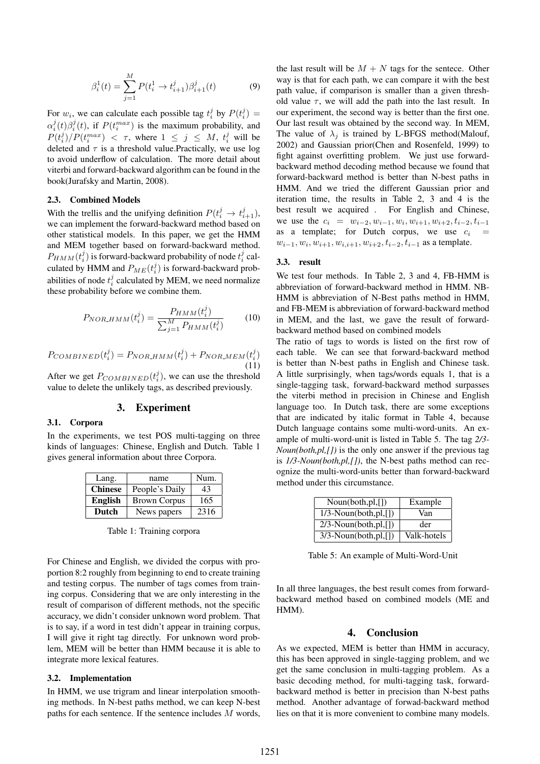$$
\beta_i^1(t) = \sum_{j=1}^M P(t_i^1 \to t_{i+1}^j) \beta_{i+1}^j(t) \tag{9}
$$

For  $w_i$ , we can calculate each possible tag  $t_i^j$  by  $P(t_i^j)$  =  $\alpha_i^j(t) \beta_i^j(t)$ , if  $P(t_i^{max})$  is the maximum probability, and  $P(t_i^j)/P(t_i^{max}) < \tau$ , where  $1 \leq j \leq M$ ,  $t_i^j$  will be deleted and *τ* is a threshold value.Practically, we use log to avoid underflow of calculation. The more detail about viterbi and forward-backward algorithm can be found in the book(Jurafsky and Martin, 2008).

#### 2.3. Combined Models

With the trellis and the unifying definition  $P(t_i^j \rightarrow t_{i+1}^j)$ , we can implement the forward-backward method based on other statistical models. In this paper, we get the HMM and MEM together based on forward-backward method.  $P_{HMM}(t_i^j)$  is forward-backward probability of node  $t_i^j$  calculated by HMM and  $P_{ME}(t_i^j)$  is forward-backward probabilities of node  $t_i^j$  calculated by MEM, we need normalize these probability before we combine them.

$$
P_{NOR,HMM}(t_i^j) = \frac{P_{HMM}(t_i^j)}{\sum_{j=1}^{M} P_{HMM}(t_i^j)}
$$
(10)

$$
P_{COMBINED}(t_i^j) = P_{NOR\_HMM}(t_i^j) + P_{NOR\_MEM}(t_i^j)
$$
\n(11)

After we get  $P_{COMBINED}(t_i^j)$ , we can use the threshold value to delete the unlikely tags, as described previously.

### 3. Experiment

#### 3.1. Corpora

In the experiments, we test POS multi-tagging on three kinds of languages: Chinese, English and Dutch. Table 1 gives general information about three Corpora.

| Lang.          | name                | Num. |
|----------------|---------------------|------|
| <b>Chinese</b> | People's Daily      | 43   |
| <b>English</b> | <b>Brown Corpus</b> | 165  |
| <b>Dutch</b>   | News papers         | 2316 |

Table 1: Training corpora

For Chinese and English, we divided the corpus with proportion 8:2 roughly from beginning to end to create training and testing corpus. The number of tags comes from training corpus. Considering that we are only interesting in the result of comparison of different methods, not the specific accuracy, we didn't consider unknown word problem. That is to say, if a word in test didn't appear in training corpus, I will give it right tag directly. For unknown word problem, MEM will be better than HMM because it is able to integrate more lexical features.

#### 3.2. Implementation

In HMM, we use trigram and linear interpolation smoothing methods. In N-best paths method, we can keep N-best paths for each sentence. If the sentence includes *M* words,

the last result will be  $M + N$  tags for the sentece. Other way is that for each path, we can compare it with the best path value, if comparison is smaller than a given threshold value  $\tau$ , we will add the path into the last result. In our experiment, the second way is better than the first one. Our last result was obtained by the second way. In MEM, The value of  $\lambda_j$  is trained by L-BFGS method(Malouf, 2002) and Gaussian prior(Chen and Rosenfeld, 1999) to fight against overfitting problem. We just use forwardbackward method decoding method because we found that forward-backward method is better than N-best paths in HMM. And we tried the different Gaussian prior and iteration time, the results in Table 2, 3 and 4 is the best result we acquired . For English and Chinese, we use the  $c_i = w_{i-2}, w_{i-1}, w_i, w_{i+1}, w_{i+2}, t_{i-2}, t_{i-1}$ as a template; for Dutch corpus, we use  $c_i$  = *w<sup>i</sup>−*<sup>1</sup>*, w<sup>i</sup> , wi*+1*, wi,i*+1*, wi*+2*, t<sup>i</sup>−*<sup>2</sup>*, t<sup>i</sup>−*<sup>1</sup> as a template.

#### 3.3. result

We test four methods. In Table 2, 3 and 4, FB-HMM is abbreviation of forward-backward method in HMM. NB-HMM is abbreviation of N-Best paths method in HMM, and FB-MEM is abbreviation of forward-backward method in MEM, and the last, we gave the result of forwardbackward method based on combined models

The ratio of tags to words is listed on the first row of each table. We can see that forward-backward method is better than N-best paths in English and Chinese task. A little surprisingly, when tags/words equals 1, that is a single-tagging task, forward-backward method surpasses the viterbi method in precision in Chinese and English language too. In Dutch task, there are some exceptions that are indicated by italic format in Table 4, because Dutch language contains some multi-word-units. An example of multi-word-unit is listed in Table 5. The tag *2/3- Noun(both,pl,[])* is the only one answer if the previous tag is *1/3-Noun(both,pl,[])*, the N-best paths method can recognize the multi-word-units better than forward-backward method under this circumstance.

| Noun(both, pl, [])      | Example     |
|-------------------------|-------------|
| $1/3$ -Noun(both,pl,[]) | Van         |
| $2/3$ -Noun(both,pl,[]) | der         |
| $3/3$ -Noun(both,pl,[]) | Valk-hotels |

Table 5: An example of Multi-Word-Unit

In all three languages, the best result comes from forwardbackward method based on combined models (ME and HMM).

### 4. Conclusion

As we expected, MEM is better than HMM in accuracy, this has been approved in single-tagging problem, and we get the same conclusion in multi-tagging problem. As a basic decoding method, for multi-tagging task, forwardbackward method is better in precision than N-best paths method. Another advantage of forwad-backward method lies on that it is more convenient to combine many models.